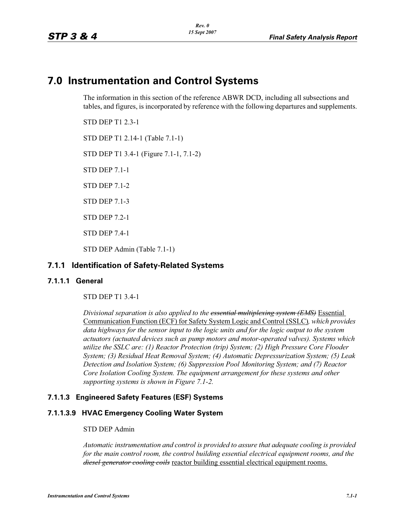# **7.0 Instrumentation and Control Systems**

The information in this section of the reference ABWR DCD, including all subsections and tables, and figures, is incorporated by reference with the following departures and supplements.

STD DEP T1 2.3-1

STD DEP T1 2.14-1 (Table 7.1-1)

STD DEP T1 3.4-1 (Figure 7.1-1, 7.1-2)

STD DEP 7.1-1

STD DEP 7.1-2

STD DEP 7.1-3

STD DEP 7.2-1

STD DEP 7.4-1

STD DEP Admin (Table 7.1-1)

# **7.1.1 Identification of Safety-Related Systems**

# **7.1.1.1 General**

STD DEP T1 3.4-1

*Divisional separation is also applied to the essential multiplexing system (EMS)* Essential Communication Function (ECF) for Safety System Logic and Control (SSLC)*, which provides*  data highways for the sensor input to the logic units and for the logic output to the system *actuators (actuated devices such as pump motors and motor-operated valves). Systems which utilize the SSLC are: (1) Reactor Protection (trip) System; (2) High Pressure Core Flooder System; (3) Residual Heat Removal System; (4) Automatic Depressurization System; (5) Leak Detection and Isolation System; (6) Suppression Pool Monitoring System; and (7) Reactor Core Isolation Cooling System. The equipment arrangement for these systems and other supporting systems is shown in Figure 7.1-2.*

# **7.1.1.3 Engineered Safety Features (ESF) Systems**

# **7.1.1.3.9 HVAC Emergency Cooling Water System**

#### STD DEP Admin

*Automatic instrumentation and control is provided to assure that adequate cooling is provided for the main control room, the control building essential electrical equipment rooms, and the diesel generator cooling coils* reactor building essential electrical equipment rooms.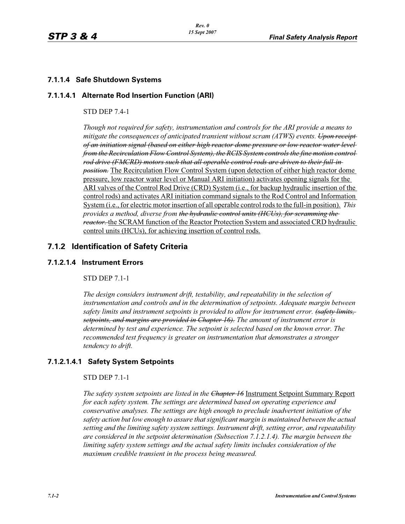# **7.1.1.4 Safe Shutdown Systems**

## **7.1.1.4.1 Alternate Rod Insertion Function (ARI)**

#### STD DEP 7.4-1

*Though not required for safety, instrumentation and controls for the ARI provide a means to mitigate the consequences of anticipated transient without scram (ATWS) events. Upon receipt of an initiation signal (based on either high reactor dome pressure or low reactor water level from the Recirculation Flow Control System), the RCIS System controls the fine motion control rod drive (FMCRD) motors such that all operable control rods are driven to their full-in position.* The Recirculation Flow Control System (upon detection of either high reactor dome pressure, low reactor water level or Manual ARI initiation) activates opening signals for the ARI valves of the Control Rod Drive (CRD) System (i.e., for backup hydraulic insertion of the control rods) and activates ARI initiation command signals to the Rod Control and Information System (i.e., for electric motor insertion of all operable control rods to the full-in position). *This provides a method, diverse from the hydraulic control units (HCUs), for scramming the reactor.* the SCRAM function of the Reactor Protection System and associated CRD hydraulic control units (HCUs), for achieving insertion of control rods.

# **7.1.2 Identification of Safety Criteria**

#### **7.1.2.1.4 Instrument Errors**

## STD DEP 7.1-1

*The design considers instrument drift, testability, and repeatability in the selection of instrumentation and controls and in the determination of setpoints. Adequate margin between safety limits and instrument setpoints is provided to allow for instrument error. (safety limits, setpoints, and margins are provided in Chapter 16). The amount of instrument error is determined by test and experience. The setpoint is selected based on the known error. The recommended test frequency is greater on instrumentation that demonstrates a stronger tendency to drift.*

# **7.1.2.1.4.1 Safety System Setpoints**

#### STD DEP 7.1-1

*The safety system setpoints are listed in the Chapter 16* Instrument Setpoint Summary Report *for each safety system. The settings are determined based on operating experience and conservative analyses. The settings are high enough to preclude inadvertent initiation of the safety action but low enough to assure that significant margin is maintained between the actual setting and the limiting safety system settings. Instrument drift, setting error, and repeatability are considered in the setpoint determination (Subsection 7.1.2.1.4). The margin between the limiting safety system settings and the actual safety limits includes consideration of the maximum credible transient in the process being measured.*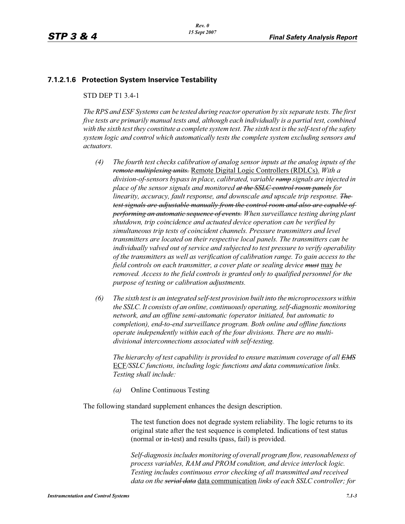## **7.1.2.1.6 Protection System Inservice Testability**

#### STD DEP T1 3.4-1

*The RPS and ESF Systems can be tested during reactor operation by six separate tests. The first five tests are primarily manual tests and, although each individually is a partial test, combined with the sixth test they constitute a complete system test. The sixth test is the self-test of the safety system logic and control which automatically tests the complete system excluding sensors and actuators.*

- *(4) The fourth test checks calibration of analog sensor inputs at the analog inputs of the remote multiplexing units.* Remote Digital Logic Controllers (RDLCs). *With a division-of-sensors bypass in place, calibrated, variable ramp signals are injected in place of the sensor signals and monitored at the SSLC control room panels for linearity, accuracy, fault response, and downscale and upscale trip response. The test signals are adjustable manually from the control room and also are capable of performing an automatic sequence of events. When surveillance testing during plant shutdown, trip coincidence and actuated device operation can be verified by simultaneous trip tests of coincident channels. Pressure transmitters and level transmitters are located on their respective local panels. The transmitters can be individually valved out of service and subjected to test pressure to verify operability of the transmitters as well as verification of calibration range. To gain access to the field controls on each transmitter, a cover plate or sealing device must* may *be removed. Access to the field controls is granted only to qualified personnel for the purpose of testing or calibration adjustments.*
- *(6) The sixth test is an integrated self-test provision built into the microprocessors within the SSLC. It consists of an online, continuously operating, self-diagnostic monitoring network, and an offline semi-automatic (operator initiated, but automatic to completion), end-to-end surveillance program. Both online and offline functions operate independently within each of the four divisions. There are no multidivisional interconnections associated with self-testing.*

*The hierarchy of test capability is provided to ensure maximum coverage of all EMS* ECF*/SSLC functions, including logic functions and data communication links. Testing shall include:*

*(a)* Online Continuous Testing

The following standard supplement enhances the design description.

The test function does not degrade system reliability. The logic returns to its original state after the test sequence is completed. Indications of test status (normal or in-test) and results (pass, fail) is provided.

*Self-diagnosis includes monitoring of overall program flow, reasonableness of process variables, RAM and PROM condition, and device interlock logic. Testing includes continuous error checking of all transmitted and received data on the serial data* data communication *links of each SSLC controller; for*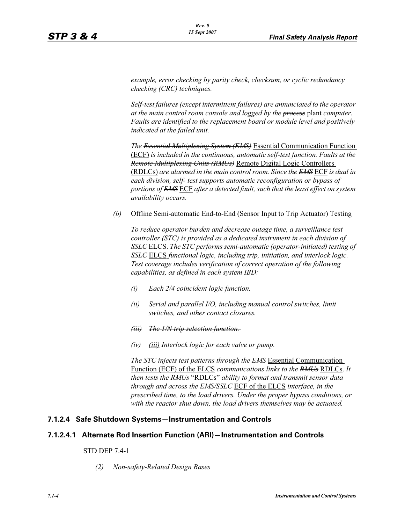*example, error checking by parity check, checksum, or cyclic redundancy checking (CRC) techniques.*

*Self-test failures (except intermittent failures) are annunciated to the operator at the main control room console and logged by the process* plant *computer. Faults are identified to the replacement board or module level and positively indicated at the failed unit.*

*The Essential Multiplexing System (EMS)* Essential Communication Function (ECF) *is included in the continuous, automatic self-test function. Faults at the Remote Multiplexing Units (RMUs)* Remote Digital Logic Controllers (RDLCs) *are alarmed in the main control room. Since the EMS* ECF *is dual in each division, self- test supports automatic reconfiguration or bypass of portions of EMS* ECF *after a detected fault, such that the least effect on system availability occurs.*

*(b)* Offline Semi-automatic End-to-End (Sensor Input to Trip Actuator) Testing

*To reduce operator burden and decrease outage time, a surveillance test controller (STC) is provided as a dedicated instrument in each division of SSLC* ELCS. *The STC performs semi-automatic (operator-initiated) testing of SSLC* ELCS *functional logic, including trip, initiation, and interlock logic. Test coverage includes verification of correct operation of the following capabilities, as defined in each system IBD:*

- *(i) Each 2/4 coincident logic function.*
- *(ii) Serial and parallel I/O, including manual control switches, limit switches, and other contact closures.*
- *(iii) The 1/N trip selection function.*
- *(iv) (iii) Interlock logic for each valve or pump.*

*The STC injects test patterns through the EMS* Essential Communication Function (ECF) of the ELCS *communications links to the RMUs* RDLCs. *It then tests the RMUs* "RDLCs" *ability to format and transmit sensor data through and across the EMS/SSLC* ECF of the ELCS *interface, in the prescribed time, to the load drivers. Under the proper bypass conditions, or with the reactor shut down, the load drivers themselves may be actuated.*

#### **7.1.2.4 Safe Shutdown Systems—Instrumentation and Controls**

#### **7.1.2.4.1 Alternate Rod Insertion Function (ARI)—Instrumentation and Controls**

#### STD DEP 7.4-1

*(2) Non-safety-Related Design Bases*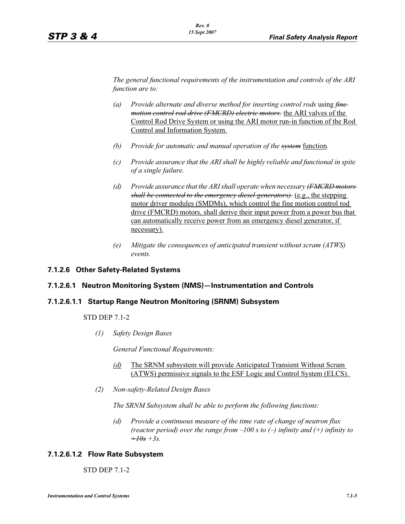*The general functional requirements of the instrumentation and controls of the ARI function are to:*

- *(a) Provide alternate and diverse method for inserting control rods* using *fine motion control rod drive (FMCRD) electric motors.* the ARI valves of the Control Rod Drive System or using the ARI motor run-in function of the Rod Control and Information System.
- *(b) Provide for automatic and manual operation of the system* function*.*
- *(c) Provide assurance that the ARI shall be highly reliable and functional in spite of a single failure.*
- *(d) Provide assurance that the ARI shall operate when necessary (FMCRD motors shall be connected to the emergency diesel generators).* (e.g., the stepping motor driver modules (SMDMs), which control the fine motion control rod drive (FMCRD) motors, shall derive their input power from a power bus that can automatically receive power from an emergency diesel generator, if necessary).
- *(e) Mitigate the consequences of anticipated transient without scram (ATWS) events.*

## **7.1.2.6 Other Safety-Related Systems**

#### **7.1.2.6.1 Neutron Monitoring System (NMS)—Instrumentation and Controls**

#### **7.1.2.6.1.1 Startup Range Neutron Monitoring (SRNM) Subsystem**

STD DEP 7.1-2

*(1) Safety Design Bases*

*General Functional Requirements:*

- *(d)* The SRNM subsystem will provide Anticipated Transient Without Scram (ATWS) permissive signals to the ESF Logic and Control System (ELCS).
- *(2) Non-safety-Related Design Bases*

*The SRNM Subsystem shall be able to perform the following functions:*

*(d) Provide a continuous measure of the time rate of change of neutron flux (reactor period) over the range from –100 s to (–) infinity and (+) infinity to*   $+10s + 3s$ .

#### **7.1.2.6.1.2 Flow Rate Subsystem**

STD DEP 7.1-2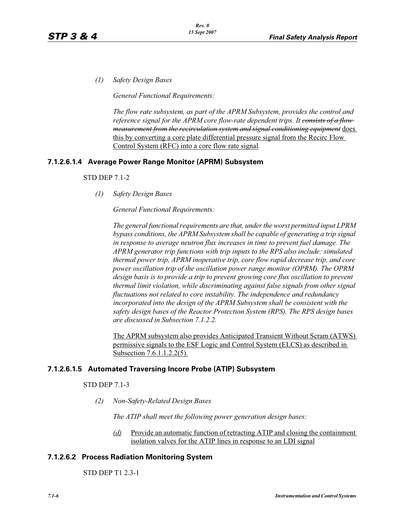*(1) Safety Design Bases*

*General Functional Requirements:*

*The flow rate subsystem, as part of the APRM Subsystem, provides the control and reference signal for the APRM core flow-rate dependent trips. It consists of a flow measurement from the recirculation system and signal conditioning equipment* does this by converting a core plate differential pressure signal from the Recirc Flow Control System (RFC) into a core flow rate signal*.*

# **7.1.2.6.1.4 Average Power Range Monitor (APRM) Subsystem**

#### STD DEP 7.1-2

*(1) Safety Design Bases*

## *General Functional Requirements:*

*The general functional requirements are that, under the worst permitted input LPRM bypass conditions, the APRM Subsystem shall be capable of generating a trip signal in response to average neutron flux increases in time to prevent fuel damage. The APRM generator trip functions with trip inputs to the RPS also include: simulated thermal power trip, APRM inoperative trip, core flow rapid decrease trip, and core power oscillation trip of the oscillation power range monitor (OPRM). The OPRM design basis is to provide a trip to prevent growing core flux oscillation to prevent thermal limit violation, while discriminating against false signals from other signal fluctuations not related to core instability. The independence and redundancy incorporated into the design of the APRM Subsystem shall be consistent with the safety design bases of the Reactor Protection System (RPS). The RPS design bases are discussed in Subsection 7.1.2.2.*

The APRM subsystem also provides Anticipated Transient Without Scram (ATWS) permissive signals to the ESF Logic and Control System (ELCS) as described in Subsection 7.6.1.1.2.2(5).

# **7.1.2.6.1.5 Automated Traversing Incore Probe (ATIP) Subsystem**

#### STD DEP 7.1-3

*(2) Non-Safety-Related Design Bases*

*The ATIP shall meet the following power generation design bases:*

*(d)* Provide an automatic function of retracting ATIP and closing the containment isolation valves for the ATIP lines in response to an LDI signal

# **7.1.2.6.2 Process Radiation Monitoring System**

STD DEP T1 2.3-1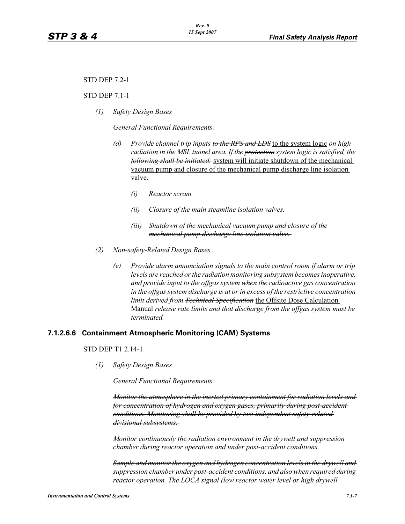#### STD DEP 7.2-1

#### STD DEP 7.1-1

*(1) Safety Design Bases*

*General Functional Requirements:*

- *(d) Provide channel trip inputs to the RPS and LDS* to the system logic *on high*  radiation in the MSL tunnel area. If the protection system logic is satisfied, the *following shall be initiated:* system will initiate shutdown of the mechanical vacuum pump and closure of the mechanical pump discharge line isolation valve.
	- *(i) Reactor scram.*
	- *(ii) Closure of the main steamline isolation valves.*
	- *(iii) Shutdown of the mechanical vacuum pump and closure of the mechanical pump discharge line isolation valve.*
- *(2) Non-safety-Related Design Bases*
	- *(e) Provide alarm annunciation signals to the main control room if alarm or trip levels are reached or the radiation monitoring subsystem becomes inoperative, and provide input to the offgas system when the radioactive gas concentration in the offgas system discharge is at or in excess of the restrictive concentration limit derived from Technical Specification* the Offsite Dose Calculation Manual *release rate limits and that discharge from the offgas system must be terminated.*

#### **7.1.2.6.6 Containment Atmospheric Monitoring (CAM) Systems**

## STD DEP T1 2.14-1

*(1) Safety Design Bases*

*General Functional Requirements:*

*Monitor the atmosphere in the inerted primary containment for radiation levels and for concentration of hydrogen and oxygen gases, primarily during post-accident conditions. Monitoring shall be provided by two independent safety-related divisional subsystems.* 

*Monitor continuously the radiation environment in the drywell and suppression chamber during reactor operation and under post-accident conditions.* 

*Sample and monitor the oxygen and hydrogen concentration levels in the drywell and suppression chamber under post-accident conditions, and also when required during reactor operation. The LOCA signal (low reactor water level or high drywell*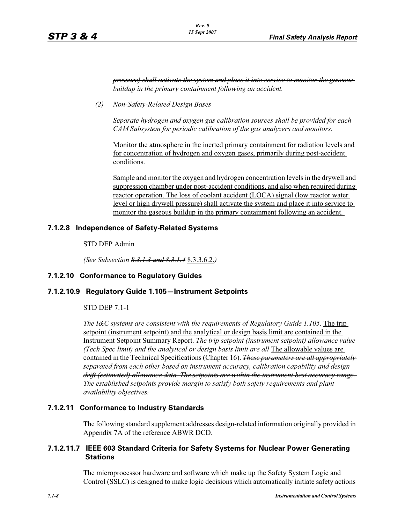*pressure) shall activate the system and place it into service to monitor the gaseous buildup in the primary containment following an accident.* 

*(2) Non-Safety-Related Design Bases*

*Separate hydrogen and oxygen gas calibration sources shall be provided for each CAM Subsystem for periodic calibration of the gas analyzers and monitors.* 

Monitor the atmosphere in the inerted primary containment for radiation levels and for concentration of hydrogen and oxygen gases, primarily during post-accident conditions.

Sample and monitor the oxygen and hydrogen concentration levels in the drywell and suppression chamber under post-accident conditions, and also when required during reactor operation. The loss of coolant accident (LOCA) signal (low reactor water level or high drywell pressure) shall activate the system and place it into service to monitor the gaseous buildup in the primary containment following an accident.

## **7.1.2.8 Independence of Safety-Related Systems**

STD DEP Admin

*(See Subsection 8.3.1.3 and 8.3.1.4* 8.3.3.6.2.*)*

#### **7.1.2.10 Conformance to Regulatory Guides**

#### **7.1.2.10.9 Regulatory Guide 1.105—Instrument Setpoints**

STD DEP 7.1-1

*The I&C systems are consistent with the requirements of Regulatory Guide 1.105. The trip* setpoint (instrument setpoint) and the analytical or design basis limit are contained in the Instrument Setpoint Summary Report. *The trip setpoint (instrument setpoint) allowance value (Tech Spec limit) and the analytical or design basis limit are all* The allowable values are contained in the Technical Specifications (Chapter 16). *These parameters are all appropriately separated from each other based on instrument accuracy, calibration capability and design drift (estimated) allowance data. The setpoints are within the instrument best accuracy range. The established setpoints provide margin to satisfy both safety requirements and plant availability objectives.*

## **7.1.2.11 Conformance to Industry Standards**

The following standard supplement addresses design-related information originally provided in Appendix 7A of the reference ABWR DCD.

# **7.1.2.11.7 IEEE 603 Standard Criteria for Safety Systems for Nuclear Power Generating Stations**

The microprocessor hardware and software which make up the Safety System Logic and Control (SSLC) is designed to make logic decisions which automatically initiate safety actions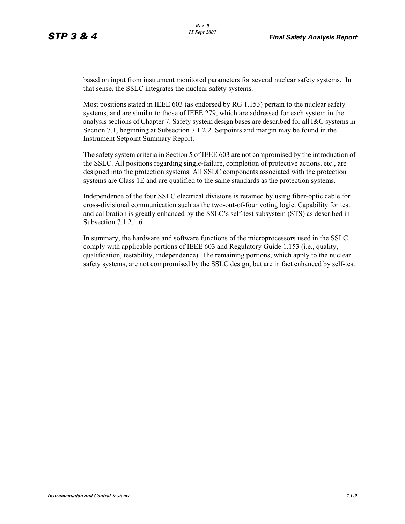based on input from instrument monitored parameters for several nuclear safety systems. In that sense, the SSLC integrates the nuclear safety systems.

Most positions stated in IEEE 603 (as endorsed by RG 1.153) pertain to the nuclear safety systems, and are similar to those of IEEE 279, which are addressed for each system in the analysis sections of Chapter 7. Safety system design bases are described for all I&C systems in Section 7.1, beginning at Subsection 7.1.2.2. Setpoints and margin may be found in the Instrument Setpoint Summary Report.

The safety system criteria in Section 5 of IEEE 603 are not compromised by the introduction of the SSLC. All positions regarding single-failure, completion of protective actions, etc., are designed into the protection systems. All SSLC components associated with the protection systems are Class 1E and are qualified to the same standards as the protection systems.

Independence of the four SSLC electrical divisions is retained by using fiber-optic cable for cross-divisional communication such as the two-out-of-four voting logic. Capability for test and calibration is greatly enhanced by the SSLC's self-test subsystem (STS) as described in Subsection 7.1.2.1.6.

In summary, the hardware and software functions of the microprocessors used in the SSLC comply with applicable portions of IEEE 603 and Regulatory Guide 1.153 (i.e., quality, qualification, testability, independence). The remaining portions, which apply to the nuclear safety systems, are not compromised by the SSLC design, but are in fact enhanced by self-test.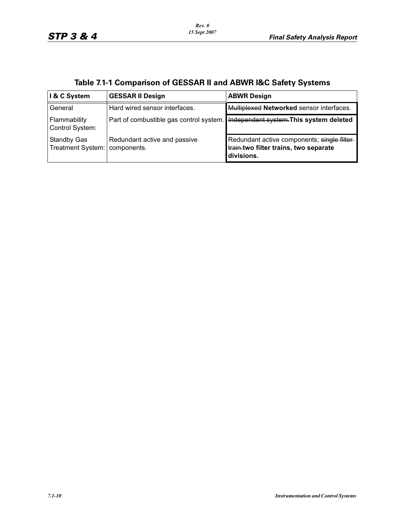| I & C System                            | <b>GESSAR II Design</b>                     | <b>ABWR Design</b>                                                                                |
|-----------------------------------------|---------------------------------------------|---------------------------------------------------------------------------------------------------|
| General                                 | Hard wired sensor interfaces.               | Multiplexed Networked sensor interfaces.                                                          |
| Flammability<br>Control System:         |                                             | Part of combustible gas control system. He appendent system. This system deleted                  |
| <b>Standby Gas</b><br>Treatment System: | Redundant active and passive<br>components. | Redundant active components; single filter<br>train.two filter trains, two separate<br>divisions. |

|  |  | Table 7.1-1 Comparison of GESSAR II and ABWR I&C Safety Systems |
|--|--|-----------------------------------------------------------------|
|--|--|-----------------------------------------------------------------|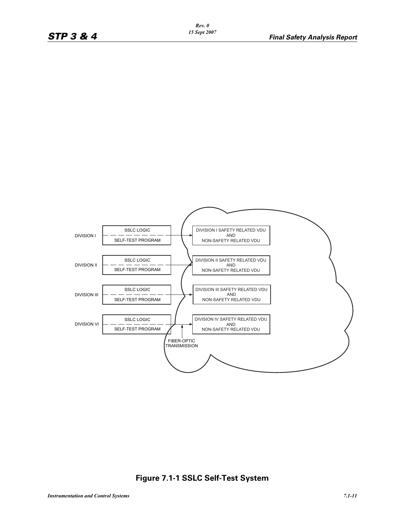